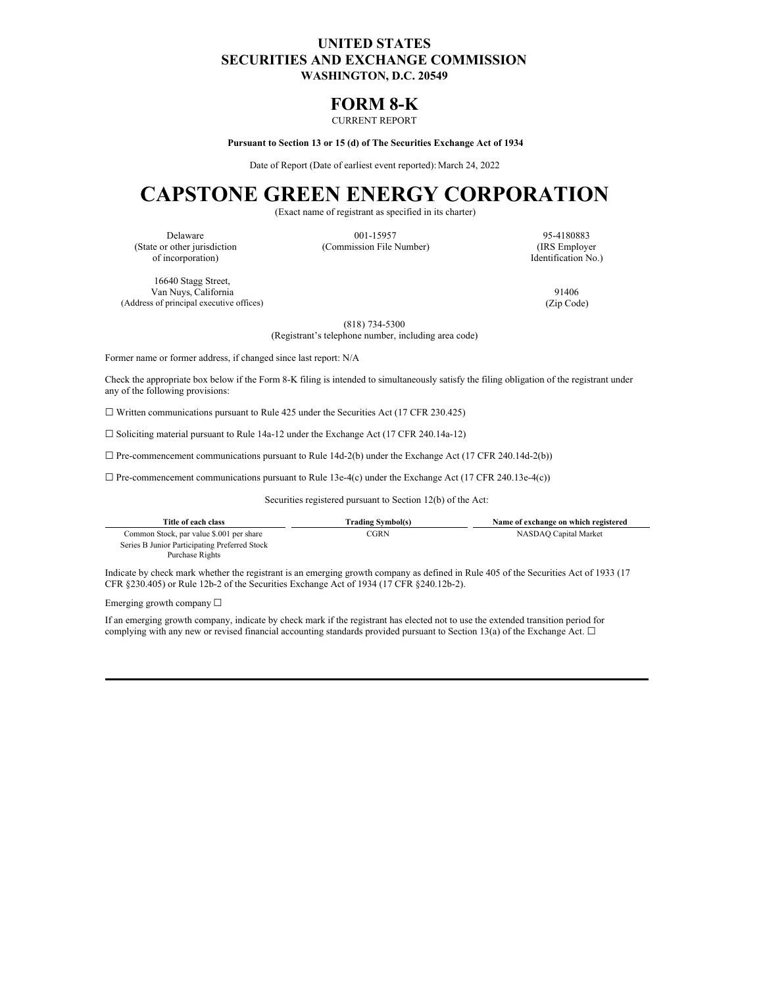## **UNITED STATES SECURITIES AND EXCHANGE COMMISSION WASHINGTON, D.C. 20549**

## **FORM 8-K**

### CURRENT REPORT

**Pursuant to Section 13 or 15 (d) of The Securities Exchange Act of 1934**

Date of Report (Date of earliest event reported): March 24, 2022

# **CAPSTONE GREEN ENERGY CORPORATION**

(Exact name of registrant as specified in its charter)

of incorporation) Identification No.)

16640 Stagg Street, Van Nuys, California 91406<br>s of principal executive offices) (Zip Code) (2ip Code) (Address of principal executive offices)

Delaware 001-15957 95-4180883 (State or other jurisdiction (Commission File Number) (IRS Employer

(818) 734-5300

(Registrant's telephone number, including area code)

Former name or former address, if changed since last report: N/A

Check the appropriate box below if the Form 8-K filing is intended to simultaneously satisfy the filing obligation of the registrant under any of the following provisions:

☐ Written communications pursuant to Rule 425 under the Securities Act (17 CFR 230.425)

 $\Box$  Soliciting material pursuant to Rule 14a-12 under the Exchange Act (17 CFR 240.14a-12)

 $\Box$  Pre-commencement communications pursuant to Rule 14d-2(b) under the Exchange Act (17 CFR 240.14d-2(b))

 $\Box$  Pre-commencement communications pursuant to Rule 13e-4(c) under the Exchange Act (17 CFR 240.13e-4(c))

Securities registered pursuant to Section 12(b) of the Act:

| Title of each class                           | Trading Symbol(s) | Name of exchange on which registered |
|-----------------------------------------------|-------------------|--------------------------------------|
| Common Stock, par value \$.001 per share      | CGRN              | NASDAO Capital Market                |
| Series B Junior Participating Preferred Stock |                   |                                      |
| Purchase Rights                               |                   |                                      |

Indicate by check mark whether the registrant is an emerging growth company as defined in Rule 405 of the Securities Act of 1933 (17 CFR §230.405) or Rule 12b-2 of the Securities Exchange Act of 1934 (17 CFR §240.12b-2).

Emerging growth company ☐

If an emerging growth company, indicate by check mark if the registrant has elected not to use the extended transition period for complying with any new or revised financial accounting standards provided pursuant to Section 13(a) of the Exchange Act.  $\Box$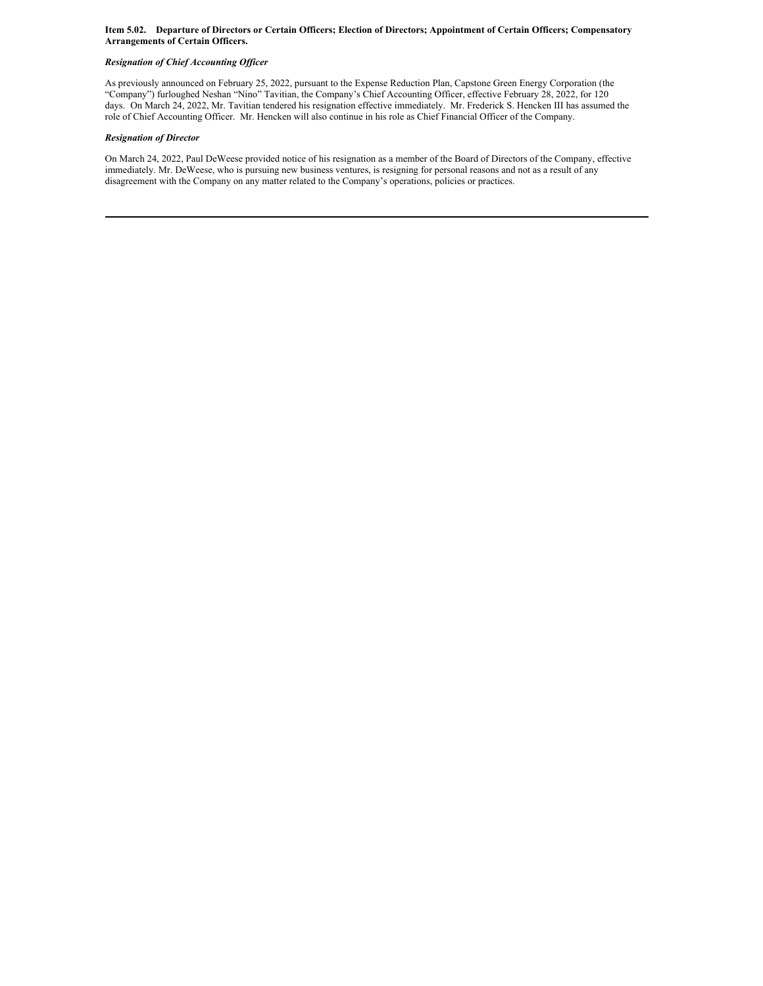#### Item 5.02. Departure of Directors or Certain Officers; Election of Directors; Appointment of Certain Officers; Compensatory **Arrangements of Certain Officers.**

#### *Resignation of Chief Accounting Of icer*

As previously announced on February 25, 2022, pursuant to the Expense Reduction Plan, Capstone Green Energy Corporation (the "Company") furloughed Neshan "Nino" Tavitian, the Company's Chief Accounting Officer, effective February 28, 2022, for 120 days. On March 24, 2022, Mr. Tavitian tendered his resignation effective immediately. Mr. Frederick S. Hencken III has assumed the role of Chief Accounting Officer. Mr. Hencken will also continue in his role as Chief Financial Officer of the Company.

#### *Resignation of Director*

On March 24, 2022, Paul DeWeese provided notice of his resignation as a member of the Board of Directors of the Company, effective immediately. Mr. DeWeese, who is pursuing new business ventures, is resigning for personal reasons and not as a result of any disagreement with the Company on any matter related to the Company's operations, policies or practices.